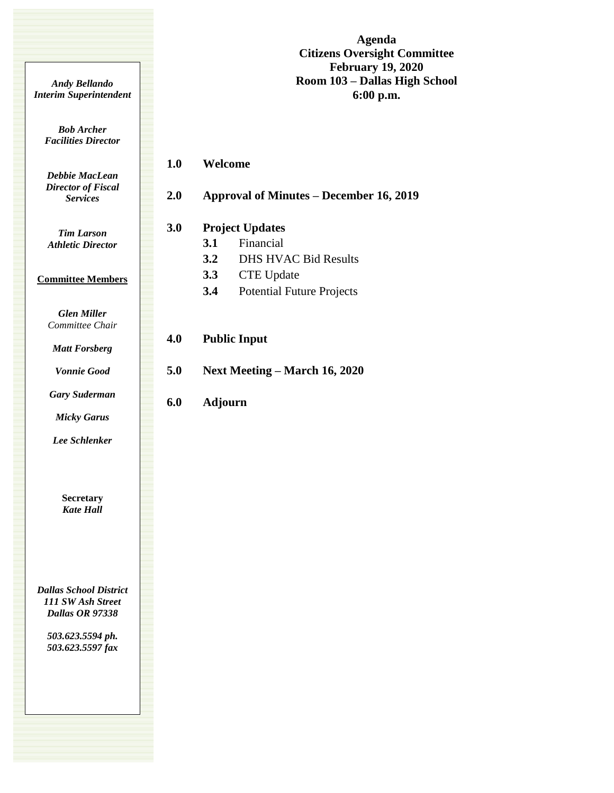**Agenda Citizens Oversight Committee February 19, 2020 Room 103 – Dallas High School 6:00 p.m.**

*Bob Archer Facilities Director*

*Andy Bellando Interim Superintendent*

> *Debbie MacLean Director of Fiscal Services*

*Tim Larson Athletic Director*

## **Committee Members**

*Glen Miller Committee Chair*

*Matt Forsberg*

*Vonnie Good*

*Gary Suderman Micky Garus*

*Lee Schlenker*

**Secretary** *Kate Hall*

*Dallas School District 111 SW Ash Street Dallas OR 97338*

> *503.623.5594 ph. 503.623.5597 fax*

| <b>3.1</b> | Financial                        |
|------------|----------------------------------|
| 3.2        | <b>DHS HVAC Bid Results</b>      |
| <b>3.3</b> | <b>CTE</b> Update                |
| 3.4        | <b>Potential Future Projects</b> |

**2.0 Approval of Minutes – December 16, 2019**

**6.0 Adjourn**

**1.0 Welcome**

**4.0 Public Input 5.0 Next Meeting – March 16, 2020**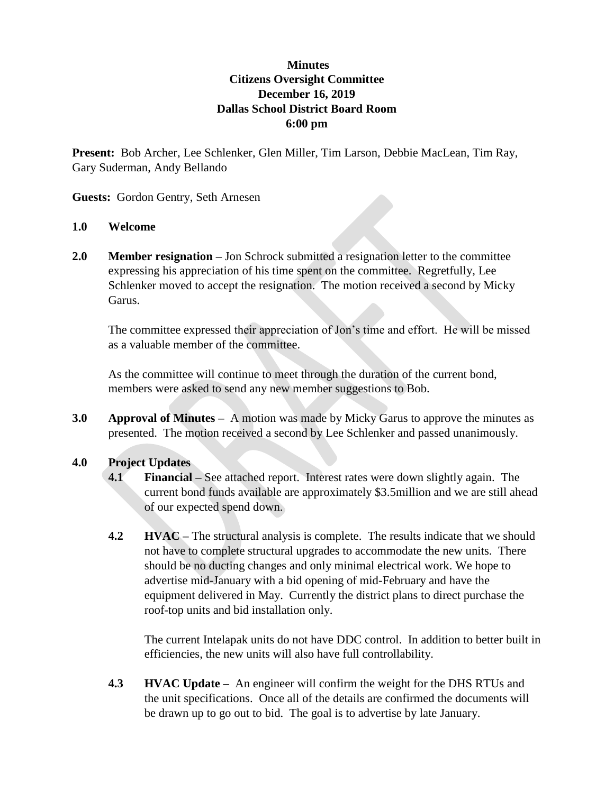## **Minutes Citizens Oversight Committee December 16, 2019 Dallas School District Board Room 6:00 pm**

**Present:** Bob Archer, Lee Schlenker, Glen Miller, Tim Larson, Debbie MacLean, Tim Ray, Gary Suderman, Andy Bellando

**Guests:** Gordon Gentry, Seth Arnesen

## **1.0 Welcome**

**2.0 Member resignation –** Jon Schrock submitted a resignation letter to the committee expressing his appreciation of his time spent on the committee. Regretfully, Lee Schlenker moved to accept the resignation. The motion received a second by Micky Garus.

The committee expressed their appreciation of Jon's time and effort. He will be missed as a valuable member of the committee.

As the committee will continue to meet through the duration of the current bond, members were asked to send any new member suggestions to Bob.

**3.0 Approval of Minutes –** A motion was made by Micky Garus to approve the minutes as presented. The motion received a second by Lee Schlenker and passed unanimously.

## **4.0 Project Updates**

- **4.1 Financial –** See attached report. Interest rates were down slightly again. The current bond funds available are approximately \$3.5million and we are still ahead of our expected spend down.
- **4.2 HVAC** The structural analysis is complete. The results indicate that we should not have to complete structural upgrades to accommodate the new units. There should be no ducting changes and only minimal electrical work. We hope to advertise mid-January with a bid opening of mid-February and have the equipment delivered in May. Currently the district plans to direct purchase the roof-top units and bid installation only.

The current Intelapak units do not have DDC control. In addition to better built in efficiencies, the new units will also have full controllability.

**4.3 HVAC Update –** An engineer will confirm the weight for the DHS RTUs and the unit specifications. Once all of the details are confirmed the documents will be drawn up to go out to bid. The goal is to advertise by late January.